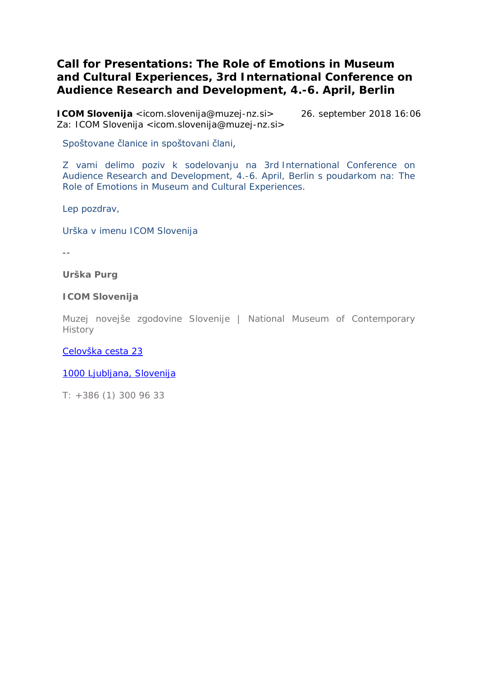## **Call for Presentations: The Role of Emotions in Museum and Cultural Experiences, 3rd International Conference on Audience Research and Development, 4.-6. April, Berlin**

**ICOM Slovenija** <icom.slovenija@muzej-nz.si> 26. september 2018 16:06 Za: ICOM Slovenija <icom.slovenija@muzej-nz.si>

Spoštovane članice in spoštovani člani,

Z vami delimo poziv k sodelovanju na *3rd International Conference on Audience Research and Development, 4.-6. April, Berlin* s poudarkom na: *The Role of Emotions in Museum and Cultural Experiences*.

Lep pozdrav,

Urška v imenu ICOM Slovenija

--

**Urška Purg** 

**ICOM Slovenija**

Muzej novejše zgodovine Slovenije | National Museum of Contemporary **History** 

[Celovška cesta 23](https://maps.google.com/?q=Celov%C5%A1ka+cesta+23+1000+Ljubljana,+Slovenija&entry=gmail&source=g)

[1000 Ljubljana, Slovenija](https://maps.google.com/?q=Celov%C5%A1ka+cesta+23+1000+Ljubljana,+Slovenija&entry=gmail&source=g)

T: +386 (1) 300 96 33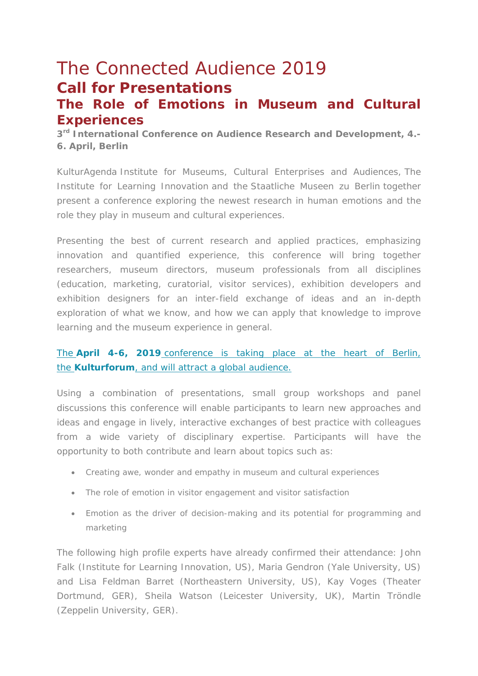# The Connected Audience 2019 **Call for Presentations**

## **The Role of Emotions in Museum and Cultural Experiences**

*3rd International Conference on Audience Research and Development, 4.- 6. April, Berlin*

*KulturAgenda* Institute for Museums, Cultural Enterprises and Audiences, *The Institute for Learning Innovation* and the *Staatliche Museen zu Berlin* together present a conference exploring the newest research in human emotions and the role they play in museum and cultural experiences.

Presenting the best of current research and applied practices, emphasizing innovation and quantified experience, this conference will bring together researchers, museum directors, museum professionals from all disciplines (education, marketing, curatorial, visitor services), exhibition developers and exhibition designers for an inter-field exchange of ideas and an in-depth exploration of what we know, and how we can apply that knowledge to improve learning and the museum experience in general.

### The **April 4-6, 2019** [conference is taking place at the heart of Berlin,](https://kulturagenda.us15.list-manage.com/track/click?u=f6624fea91b0ed5d62ae477bf&id=fd49508b59&e=d4b5e1fdd6)  the **Kulturforum**[, and will attract a global audience.](https://kulturagenda.us15.list-manage.com/track/click?u=f6624fea91b0ed5d62ae477bf&id=fd49508b59&e=d4b5e1fdd6)

Using a combination of presentations, small group workshops and panel discussions this conference will enable participants to learn new approaches and ideas and engage in lively, interactive exchanges of best practice with colleagues from a wide variety of disciplinary expertise. Participants will have the opportunity to both contribute and learn about topics such as:

- Creating awe, wonder and empathy in museum and cultural experiences
- The role of emotion in visitor engagement and visitor satisfaction
- Emotion as the driver of decision-making and its potential for programming and marketing

The following high profile experts have already confirmed their attendance: John Falk (Institute for Learning Innovation, US), Maria Gendron (Yale University, US) and Lisa Feldman Barret (Northeastern University, US), Kay Voges (Theater Dortmund, GER), Sheila Watson (Leicester University, UK), Martin Tröndle (Zeppelin University, GER).